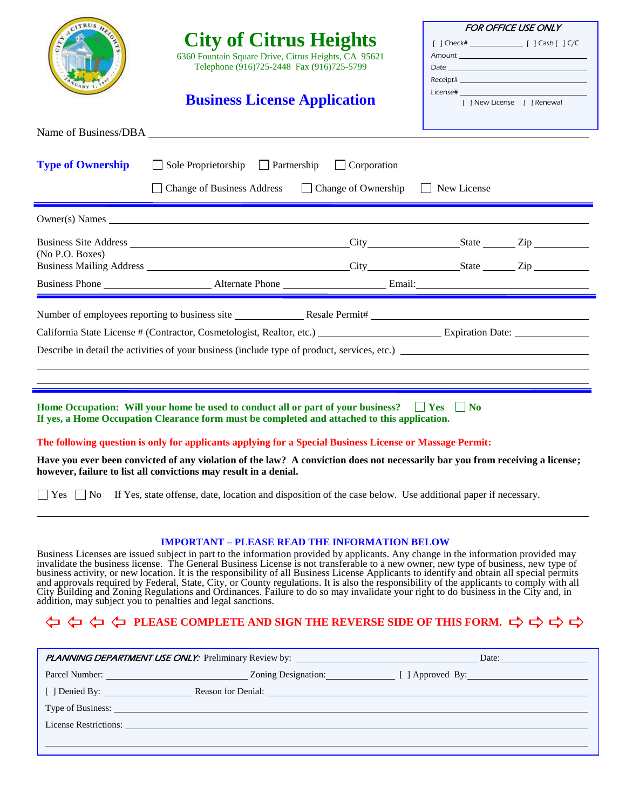| CITRUS HI                                                                                                                                                                                                                                                                                                                                                                                                                                                                                                                                                                                                                                                          | <b>City of Citrus Heights</b><br>6360 Fountain Square Drive, Citrus Heights, CA 95621<br>Telephone (916)725-2448 Fax (916)725-5799<br><b>Business License Application</b> |                    | <b>FOR OFFICE USE ONLY</b><br>$\textbf{Receipt} \texttt{#} \texttt{__} \texttt{__} \texttt{__} \texttt{__} \texttt{__} \texttt{__} \texttt{__} \texttt{__} \texttt{__} \texttt{__} \texttt{__} \texttt{__} \texttt{__} \texttt{__} \texttt{__} \texttt{__} \texttt{__} \texttt{__} \texttt{__} \texttt{__} \texttt{__} \texttt{__} \texttt{__} \texttt{__} \texttt{__} \texttt{__} \texttt{__} \texttt{__} \texttt{__} \texttt{__} \texttt{__} \texttt{__} \texttt{__} \texttt{__} \text$<br>License# 2008 and 2008 and 2008 and 2008 and 2008 and 2008 and 2008 and 2008 and 2008 and 2008 and 2008 and 20<br>[ ] New License [ ] Renewal |  |  |  |
|--------------------------------------------------------------------------------------------------------------------------------------------------------------------------------------------------------------------------------------------------------------------------------------------------------------------------------------------------------------------------------------------------------------------------------------------------------------------------------------------------------------------------------------------------------------------------------------------------------------------------------------------------------------------|---------------------------------------------------------------------------------------------------------------------------------------------------------------------------|--------------------|--------------------------------------------------------------------------------------------------------------------------------------------------------------------------------------------------------------------------------------------------------------------------------------------------------------------------------------------------------------------------------------------------------------------------------------------------------------------------------------------------------------------------------------------------------------------------------------------------------------------------------------------|--|--|--|
|                                                                                                                                                                                                                                                                                                                                                                                                                                                                                                                                                                                                                                                                    |                                                                                                                                                                           |                    |                                                                                                                                                                                                                                                                                                                                                                                                                                                                                                                                                                                                                                            |  |  |  |
| <b>Type of Ownership</b>                                                                                                                                                                                                                                                                                                                                                                                                                                                                                                                                                                                                                                           | $\Box$ Sole Proprietorship $\Box$ Partnership<br>□ Change of Business Address □ Change of Ownership □ New License                                                         | $\Box$ Corporation |                                                                                                                                                                                                                                                                                                                                                                                                                                                                                                                                                                                                                                            |  |  |  |
|                                                                                                                                                                                                                                                                                                                                                                                                                                                                                                                                                                                                                                                                    |                                                                                                                                                                           |                    |                                                                                                                                                                                                                                                                                                                                                                                                                                                                                                                                                                                                                                            |  |  |  |
| (No P.O. Boxes)                                                                                                                                                                                                                                                                                                                                                                                                                                                                                                                                                                                                                                                    |                                                                                                                                                                           |                    |                                                                                                                                                                                                                                                                                                                                                                                                                                                                                                                                                                                                                                            |  |  |  |
|                                                                                                                                                                                                                                                                                                                                                                                                                                                                                                                                                                                                                                                                    |                                                                                                                                                                           |                    |                                                                                                                                                                                                                                                                                                                                                                                                                                                                                                                                                                                                                                            |  |  |  |
| California State License # (Contractor, Cosmetologist, Realtor, etc.) Expiration Date: Expiration Date:                                                                                                                                                                                                                                                                                                                                                                                                                                                                                                                                                            |                                                                                                                                                                           |                    |                                                                                                                                                                                                                                                                                                                                                                                                                                                                                                                                                                                                                                            |  |  |  |
| Home Occupation: Will your home be used to conduct all or part of your business? $\Box$ Yes $\Box$ No<br>If yes, a Home Occupation Clearance form must be completed and attached to this application.                                                                                                                                                                                                                                                                                                                                                                                                                                                              |                                                                                                                                                                           |                    |                                                                                                                                                                                                                                                                                                                                                                                                                                                                                                                                                                                                                                            |  |  |  |
| The following question is only for applicants applying for a Special Business License or Massage Permit:                                                                                                                                                                                                                                                                                                                                                                                                                                                                                                                                                           |                                                                                                                                                                           |                    |                                                                                                                                                                                                                                                                                                                                                                                                                                                                                                                                                                                                                                            |  |  |  |
|                                                                                                                                                                                                                                                                                                                                                                                                                                                                                                                                                                                                                                                                    | however, failure to list all convictions may result in a denial.                                                                                                          |                    | Have you ever been convicted of any violation of the law? A conviction does not necessarily bar you from receiving a license;                                                                                                                                                                                                                                                                                                                                                                                                                                                                                                              |  |  |  |
| □ Yes □ No If Yes, state offense, date, location and disposition of the case below. Use additional paper if necessary.                                                                                                                                                                                                                                                                                                                                                                                                                                                                                                                                             |                                                                                                                                                                           |                    |                                                                                                                                                                                                                                                                                                                                                                                                                                                                                                                                                                                                                                            |  |  |  |
| <b>IMPORTANT – PLEASE READ THE INFORMATION BELOW</b><br>Business Licenses are issued subject in part to the information provided by applicants. Any change in the information provided may invalidate the business license. The General Business License is not transferable to a new<br>business activity, or new location. It is the responsibility of all Business License Applicants to identify and obtain all special permits<br>and approvals required by Federal, State, City, or County regulations. It is also t<br>addition, may subject you to penalties and legal sanctions.<br>⇔ ⇔ ⇔ ⇔ PLEASE COMPLETE AND SIGN THE REVERSE SIDE OF THIS FORM. ⇔ ⇔ ⇔ |                                                                                                                                                                           |                    |                                                                                                                                                                                                                                                                                                                                                                                                                                                                                                                                                                                                                                            |  |  |  |
|                                                                                                                                                                                                                                                                                                                                                                                                                                                                                                                                                                                                                                                                    |                                                                                                                                                                           |                    | PLANNING DEPARTMENT USE ONLY: Preliminary Review by: Date: Date: Date:                                                                                                                                                                                                                                                                                                                                                                                                                                                                                                                                                                     |  |  |  |
|                                                                                                                                                                                                                                                                                                                                                                                                                                                                                                                                                                                                                                                                    |                                                                                                                                                                           |                    |                                                                                                                                                                                                                                                                                                                                                                                                                                                                                                                                                                                                                                            |  |  |  |

Type of Business:

License Restrictions: